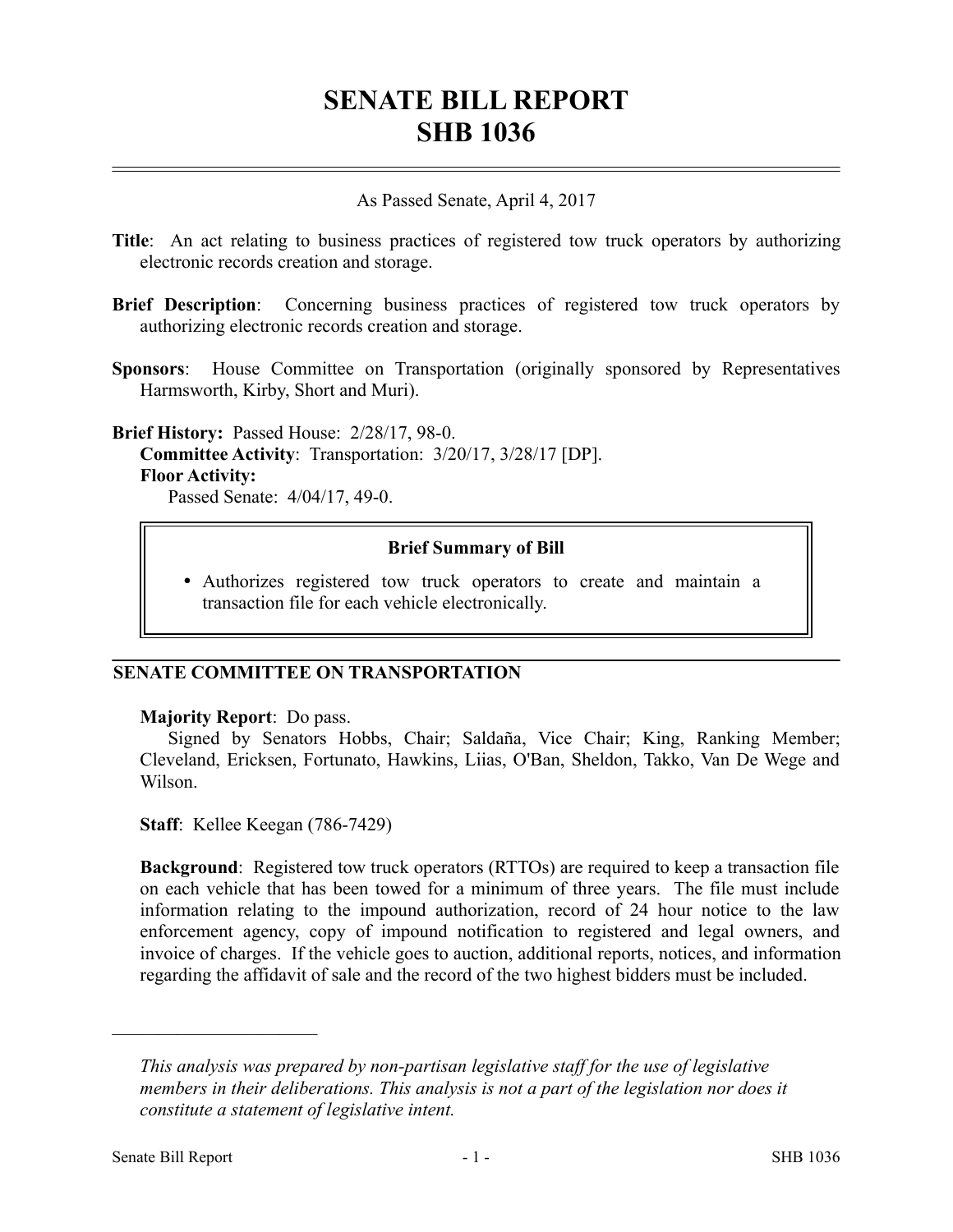# **SENATE BILL REPORT SHB 1036**

## As Passed Senate, April 4, 2017

- **Title**: An act relating to business practices of registered tow truck operators by authorizing electronic records creation and storage.
- **Brief Description**: Concerning business practices of registered tow truck operators by authorizing electronic records creation and storage.
- **Sponsors**: House Committee on Transportation (originally sponsored by Representatives Harmsworth, Kirby, Short and Muri).

**Brief History:** Passed House: 2/28/17, 98-0. **Committee Activity**: Transportation: 3/20/17, 3/28/17 [DP]. **Floor Activity:**

Passed Senate: 4/04/17, 49-0.

### **Brief Summary of Bill**

 Authorizes registered tow truck operators to create and maintain a transaction file for each vehicle electronically.

# **SENATE COMMITTEE ON TRANSPORTATION**

#### **Majority Report**: Do pass.

Signed by Senators Hobbs, Chair; Saldaña, Vice Chair; King, Ranking Member; Cleveland, Ericksen, Fortunato, Hawkins, Liias, O'Ban, Sheldon, Takko, Van De Wege and Wilson.

**Staff**: Kellee Keegan (786-7429)

**Background**: Registered tow truck operators (RTTOs) are required to keep a transaction file on each vehicle that has been towed for a minimum of three years. The file must include information relating to the impound authorization, record of 24 hour notice to the law enforcement agency, copy of impound notification to registered and legal owners, and invoice of charges. If the vehicle goes to auction, additional reports, notices, and information regarding the affidavit of sale and the record of the two highest bidders must be included.

––––––––––––––––––––––

*This analysis was prepared by non-partisan legislative staff for the use of legislative members in their deliberations. This analysis is not a part of the legislation nor does it constitute a statement of legislative intent.*